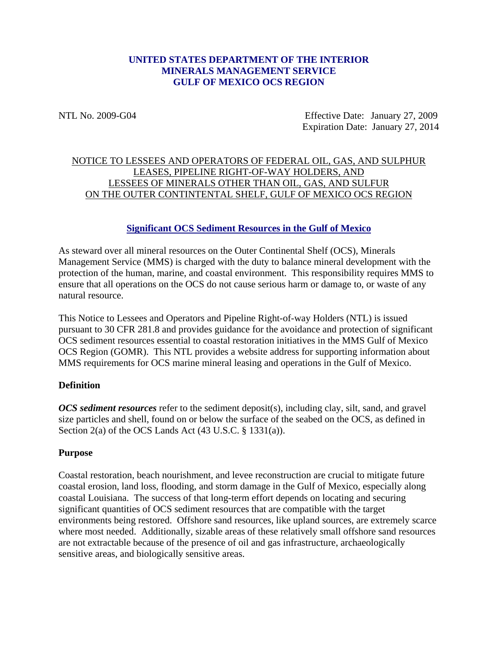## **UNITED STATES DEPARTMENT OF THE INTERIOR MINERALS MANAGEMENT SERVICE GULF OF MEXICO OCS REGION**

NTL No. 2009-G04 Effective Date: January 27, 2009 Expiration Date: January 27, 2014

# NOTICE TO LESSEES AND OPERATORS OF FEDERAL OIL, GAS, AND SULPHUR LEASES, PIPELINE RIGHT-OF-WAY HOLDERS, AND LESSEES OF MINERALS OTHER THAN OIL, GAS, AND SULFUR ON THE OUTER CONTINTENTAL SHELF, GULF OF MEXICO OCS REGION

# **Significant OCS Sediment Resources in the Gulf of Mexico**

As steward over all mineral resources on the Outer Continental Shelf (OCS), Minerals Management Service (MMS) is charged with the duty to balance mineral development with the protection of the human, marine, and coastal environment. This responsibility requires MMS to ensure that all operations on the OCS do not cause serious harm or damage to, or waste of any natural resource.

This Notice to Lessees and Operators and Pipeline Right-of-way Holders (NTL) is issued pursuant to 30 CFR 281.8 and provides guidance for the avoidance and protection of significant OCS sediment resources essential to coastal restoration initiatives in the MMS Gulf of Mexico OCS Region (GOMR). This NTL provides a website address for supporting information about MMS requirements for OCS marine mineral leasing and operations in the Gulf of Mexico.

## **Definition**

*OCS sediment resources* refer to the sediment deposit(s), including clay, silt, sand, and gravel size particles and shell, found on or below the surface of the seabed on the OCS, as defined in Section 2(a) of the OCS Lands Act (43 U.S.C. § 1331(a)).

## **Purpose**

Coastal restoration, beach nourishment, and levee reconstruction are crucial to mitigate future coastal erosion, land loss, flooding, and storm damage in the Gulf of Mexico, especially along coastal Louisiana. The success of that long-term effort depends on locating and securing significant quantities of OCS sediment resources that are compatible with the target environments being restored. Offshore sand resources, like upland sources, are extremely scarce where most needed. Additionally, sizable areas of these relatively small offshore sand resources are not extractable because of the presence of oil and gas infrastructure, archaeologically sensitive areas, and biologically sensitive areas.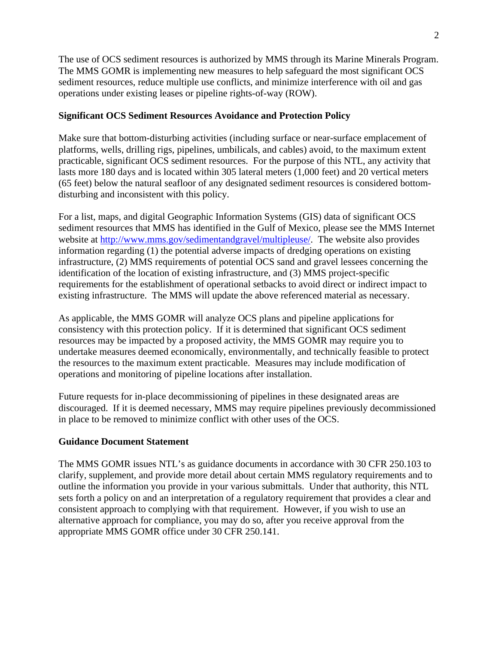The use of OCS sediment resources is authorized by MMS through its Marine Minerals Program. The MMS GOMR is implementing new measures to help safeguard the most significant OCS sediment resources, reduce multiple use conflicts, and minimize interference with oil and gas operations under existing leases or pipeline rights-of-way (ROW).

### **Significant OCS Sediment Resources Avoidance and Protection Policy**

Make sure that bottom-disturbing activities (including surface or near-surface emplacement of platforms, wells, drilling rigs, pipelines, umbilicals, and cables) avoid, to the maximum extent practicable, significant OCS sediment resources. For the purpose of this NTL, any activity that lasts more 180 days and is located within 305 lateral meters (1,000 feet) and 20 vertical meters (65 feet) below the natural seafloor of any designated sediment resources is considered bottomdisturbing and inconsistent with this policy.

For a list, maps, and digital Geographic Information Systems (GIS) data of significant OCS sediment resources that MMS has identified in the Gulf of Mexico, please see the MMS Internet website at [http://www.mms.gov/sedimentandgravel/multipleuse/.](http://www.mms.gov/sedimentandgravel/multipleuse/) The website also provides information regarding (1) the potential adverse impacts of dredging operations on existing infrastructure, (2) MMS requirements of potential OCS sand and gravel lessees concerning the identification of the location of existing infrastructure, and (3) MMS project-specific requirements for the establishment of operational setbacks to avoid direct or indirect impact to existing infrastructure. The MMS will update the above referenced material as necessary.

As applicable, the MMS GOMR will analyze OCS plans and pipeline applications for consistency with this protection policy. If it is determined that significant OCS sediment resources may be impacted by a proposed activity, the MMS GOMR may require you to undertake measures deemed economically, environmentally, and technically feasible to protect the resources to the maximum extent practicable. Measures may include modification of operations and monitoring of pipeline locations after installation.

Future requests for in-place decommissioning of pipelines in these designated areas are discouraged. If it is deemed necessary, MMS may require pipelines previously decommissioned in place to be removed to minimize conflict with other uses of the OCS.

### **Guidance Document Statement**

The MMS GOMR issues NTL's as guidance documents in accordance with 30 CFR 250.103 to clarify, supplement, and provide more detail about certain MMS regulatory requirements and to outline the information you provide in your various submittals. Under that authority, this NTL sets forth a policy on and an interpretation of a regulatory requirement that provides a clear and consistent approach to complying with that requirement. However, if you wish to use an alternative approach for compliance, you may do so, after you receive approval from the appropriate MMS GOMR office under 30 CFR 250.141.